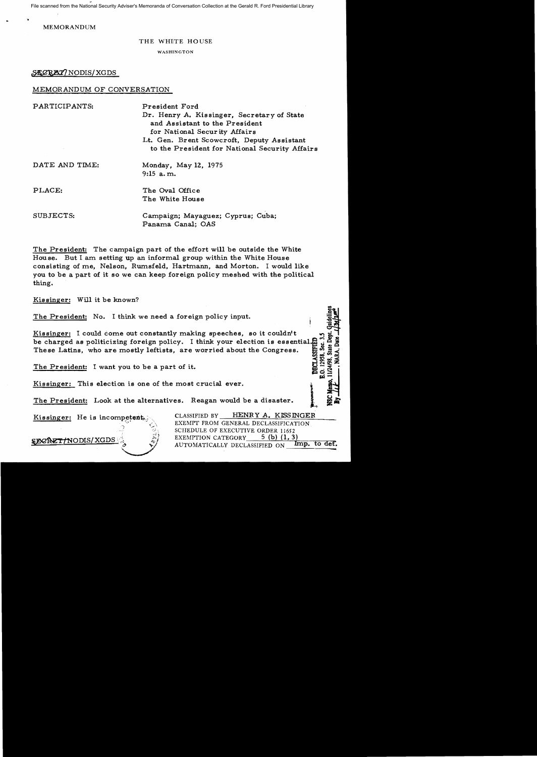File scanned from the National Security Adviser's Memoranda of Conversation Collection at the Gerald R. Ford Presidential Library

**MEMORANDUM** 

#### THE WHITE HOUSE

WASHINGTON

SACREY NODIS XGDS

### MEMORANDUM OF CONVERSATION

| PARTICIPANTS:  | President Ford<br>Dr. Henry A. Kissinger, Secretary of State<br>and Assistant to the President<br>for National Security Affairs<br>Lt. Gen. Brent Scowcroft, Deputy Assistant<br>to the President for National Security Affairs |
|----------------|---------------------------------------------------------------------------------------------------------------------------------------------------------------------------------------------------------------------------------|
| DATE AND TIME: | Monday, May 12, 1975<br>$9:15$ a.m.                                                                                                                                                                                             |
| PLACE:         | The Oval Office<br>The White House                                                                                                                                                                                              |
| SUBJECTS:      | Campaign; Mayaguez; Cyprus; Cuba;<br>Panama Canal; OAS                                                                                                                                                                          |

The President: The campaign part of the effort will be outside the White House. But I am setting up an informal group within the White House consisting of me, Nelson, Rumsfeld, Hartmann, and Morton. I would like you to be a part of it so we can keep foreign policy meshed with the political thing.

Kissinger: Will it be known?

The President: No. I think we need a foreign policy input.

The Freshwell Come out constantly making speeches, so it couldn't<br>be charged as politicizing foreign policy. I think your election is essential.<br>The who are mostly leftists, are worried about the Congress. Šec. 2958.

The President: I want you to be a part of it.

Kissinger: This election is one of the most crucial ever.

The President: Look at the alternatives. Reagan would be a disaster.

Kissinger: He is incompetent

HENRY A. KISSINGER CLASSIFIED BY EXEMPT FROM GENERAL DECLASSIFICATION SCHEDULE OF EXECUTIVE ORDER 11652 EXEMPTION CATEGORY 5 $(b)$   $(1, 3)$ AUTOMATICALLY DECLASSIFIED ON Imp. to def.

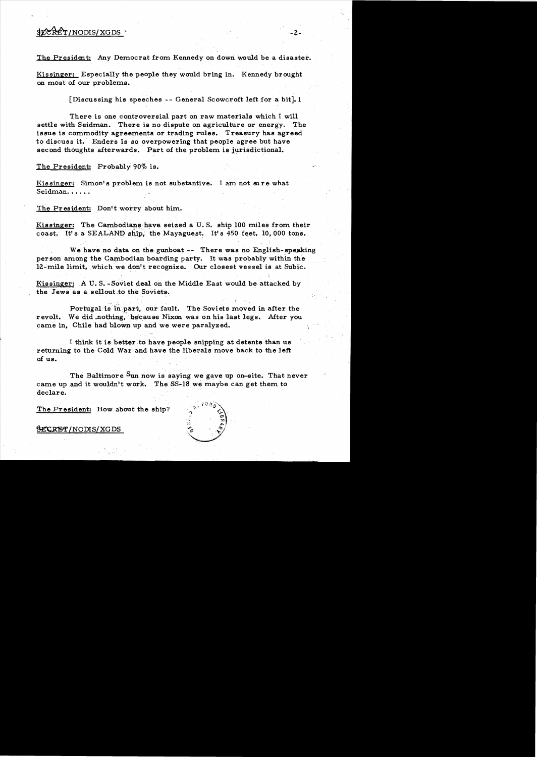# $$ECKET/NODIS/XGDS$  -2-

The President: Any Democrat from Kennedy on down WOuld he a disaster.

Kissinger: Especially the people they would bring in. Kennedy brought on most of our problems.

[Discussing his speeches - - General Scowcroft left for a bit]. 1

There is one controversial part on raw materials which I will settle with Seidman. There is no dispute on agriculture or energy. The issue is commodity agreements or trading rules. Treasury has agreed to discuss it. Enders is so overpowering that people agree but have second thoughts afterwards. Part of the problem is jurisdictional.

### The President: Probably 90% is.

Kissinger: Simon's problem is not substantive. I am not sure what Seidman.....

The President: Don't worry about him.

 $\sim$ 

Kissinger: The Cambodians have seized a U.S. ship 100 miles from their coast. It's a SEALAND ship, the Mayaguest. It's  $450$  feet, 10,000 tons.

We have no data on the gunboat -- There was no English-speaking person among the Cambodian boarding party. It was probably within the 12-mile limit, which we don't recognize. Our closest vessel is at Subic.

Kissinger: A U.S.-Soviet deal on the Middle East would be attacked by the Jews as a sellout to the Soviets.

Portugal is in part, our fault. The Soviets moved in after the revolt. We did nothing, because Nixon was on his last legs. After you came in, Chile had blown up and we were paralyzed.

I think it is better to have people snipping at detente than us returning to the Cold War and have the liberals move back to the left of us.

The Baltimore Sun now is saying we gave up on-site. That never came up and it wouldn't work. The SS-18 we maybe can get them to declare.

The President: How about the ship?

~/NODIS/XGDS

 $\mathcal{L}^{(1)}$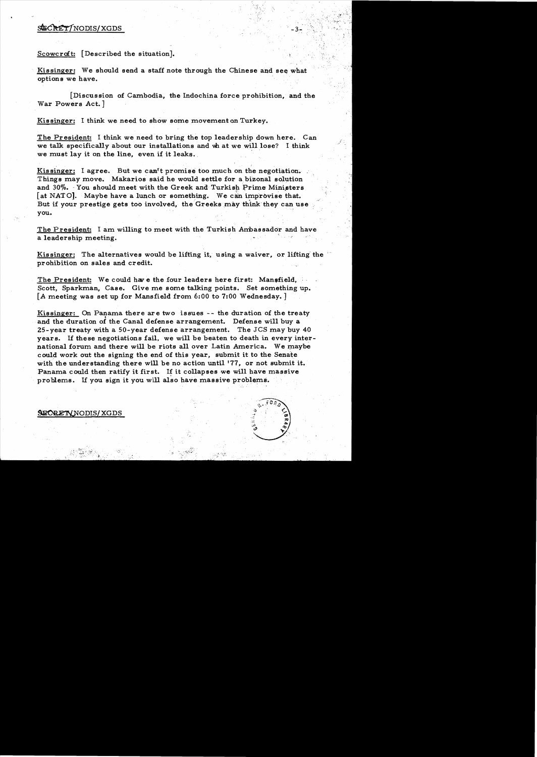## SECRET/NODIS/XGDS

## Scowcraft: [Described the situation].

Kissinger: We should send a staff note through the Chinese and see what options we have.

[Discussion of Cambodia, the Indochina force prohibition, and the War Powers Act.]

Kissinger: I think we need to show some movement on Turkey.

The President: I think we need to bring the top leadership down here. Can we talk specifically about our installations and what we will lose? I think we must lay it on the line, even if it leaks.

Kissinger: I agree. But we can't promise too much on the negotiation. Things may move. Makarios said he would settle for a bizonal solution and 30%. You should meet with the Greek and Turkish Prime Ministers [at NATO]. Maybe have a lunch or something. We can improvise that. But if your prestige gets too involved, the Greeks may think they can use you.

The President: I am willing to meet with the Turkish Ambassador and have a leadership meeting.

Kissinger: The alternatives would be lifting it, using a waiver, or lifting the prohibition on sales and credit.

The President: We could have the four leaders here first: Mansfield, Scott, Sparkman, Case. Give me some talking points. Set something up. [A meeting was set up for Mansfield from 6:00 to 7:00 Wednesday.]

<u>Kissinger:</u> On Panama there are two issues  $-$ - the duration of the treaty and the duration of the Canal defense arrangement. Defense will buy a 25-year treaty with a 50-year defense arrangement. The JCS may buy 40 years. If these negotiations fail, we will be beaten to death in every international forum and there will be riots all over Latin America. We maybe could work out the signing the end of this year. submit it to the Senate with the understanding there will be no action until '77, or not submit it. Panama could then ratify it first. If it collapses we will have massive problems. If you sign it you will also have massive problems.

### SECRETY NODIS/XGDS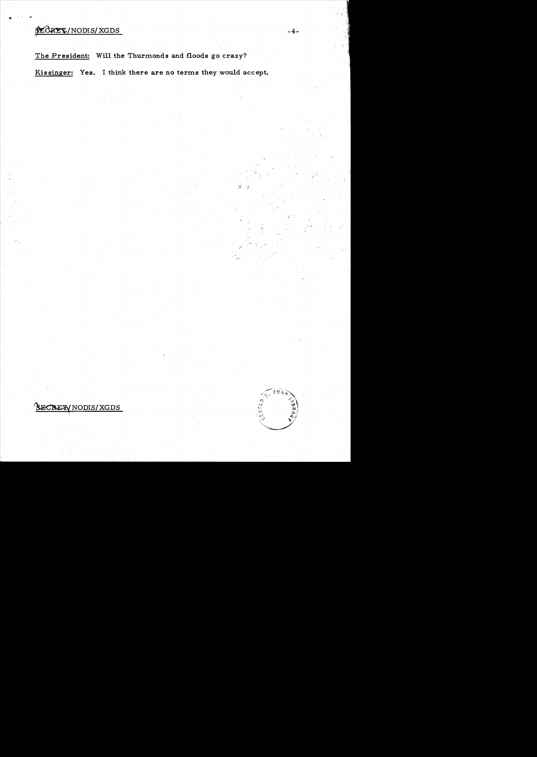# \$LORET/NODIS/XGDS

" " fII

The President: Will the Thurmonds and floods go crazy?

Kissinger: Yes. I think there are no terms they would accept.

TREEY NODIS/XGDS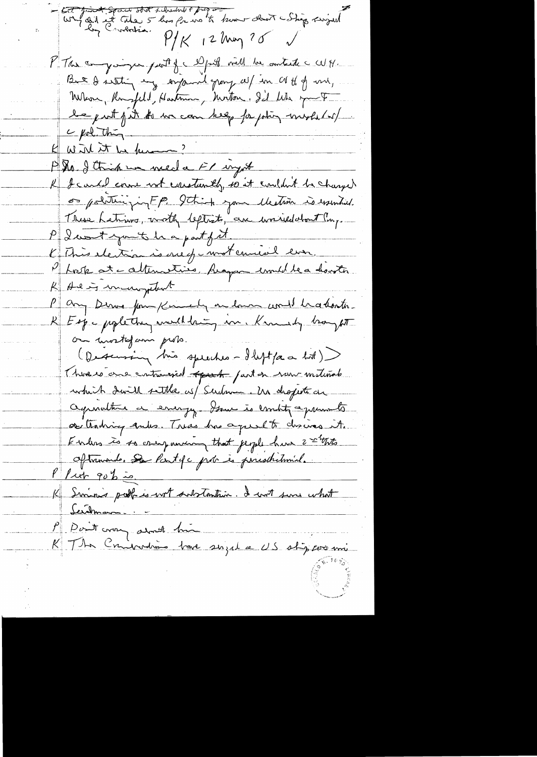contraint sous stat schuttet page  $P/K$  12 ling 25  $\sqrt{ }$ P This companying part of a export will be antiched WH. But I writing my empared group all in at it of my Whom, Ruspell, Hastman, Motor. Il We you F be put fut to we can help for phing mystel w/  $\frac{c}{\sqrt{1-\frac{c}{c}}}$ K Wird it be known? P. M. I think we need a Fl injust K I cando course not constantly to it couldn't be changed os politicizinFP. 9thish your electron is essential. These hatins, moth leptists, an univelation t'ing. P I won't you't be a part of it K This election is one of moternical even. Phrok at alternatives Acapa comedia devoter K Ale in incomplete P any Derne form Kimmely on low would bradonto. R Espe poplettre, meditain, in Kennedy boyst on mostofam prob. (Descursing his speeches - Ileftpa a lot) There is one contrained to put on run metinal which don't settle us/ Sudame. Un droperte are agenultie à energy Some is embit agreements or trading quels. Treas has agreed to change it. Enders is so camponing that jeople him 2 thats Oftrammede. Se lastifa podre es peristritamine.  $1/4 + 90/2 =$ K Siminis policie wit substantive. I with sure what <u> Seichmann.</u> P Don't vous armet him une singel a US stip avec mi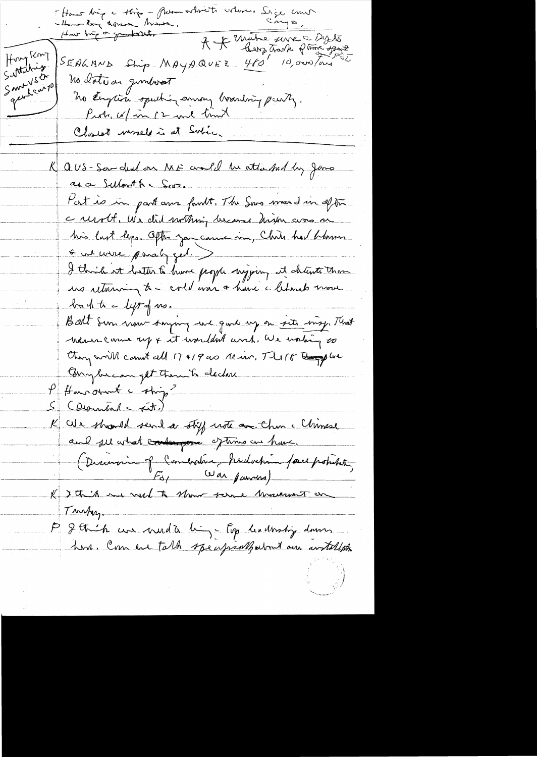Hour bien a Kie - Promochant volons. Siege court A & Mathe serve Dylo  $H^{\nu\lambda}$  (cm)  $460'$  10,000 / and SEALBND Strip MAYAQUEZ Sattatris Santyset no date ou gunderot gent car po no English speaking among boarding party. Purts, w/in 12 and time Closet uneles at Subic K aus-samded on ME andle un attached by Jame as a Sulmith Spr. Post is in part ann familt. The Snoo would in after c resolt. We did surthing became high avos si 6 un mere paralyzed. I think at better to have people nyjoing it detente than us returning to-collevar a have a lebrado mon buhte lystof ns. Balt Sun now surpring end good up on site may. That - Wenne come my & it wouldn't work, We working to thoughout count cell 17 419 as Min. The 18 though we Europhican get them to declare P Huncolnt c'stig? K We should send a stiff note on the climase and see what contempore of time as have. (Discovoir of Comersion, Induction face position For War parmes) K I this me week to show serve machinet on Turkey. P & thick we need a high top leadwarp down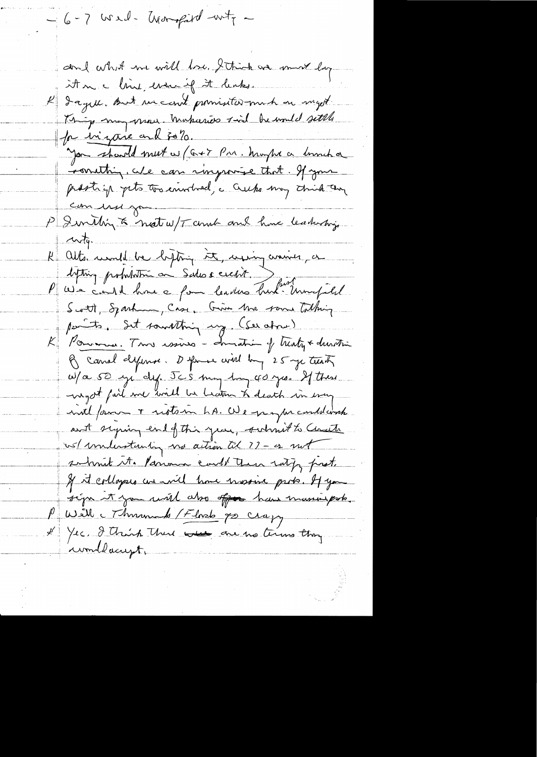$-6-7$  wed- transpared -wity don't what we will lose. I think we must buy it in a lime, even if it leaks. K dagere. But un court primisiter-mich on myst. Thing may move makaries said be would settle for ingare and solo. you should meet w (G+7 Pm. known a lumb a construir, cite can ringuisse that. If your publicing pets too enveloed, a creeks may think they com use you. P I smithing to next w/T and and hime leadership anty. K Alts month be hytoing it, using anises, a Afting probabitor on Sades credit. Deux monsieurs Scott, Sparking, Case, Give Ma rome Talking parts. Set something ung. (Seratore) K Pommer. Trois issues - Immatrix of trenty & duration B canal defense. Defense will by 25 ye teenth W/a 50 yi dy. Jes my ling 40 yrs. If these myst fart me will be beaton to death in every inte fame + restain hs. We grape conditions ant syming end of this year, submit to Charte us/ inlinitioning no action til 77 - os not so hint it. Parrows could their rating prost. If it collogers we will have nassine prob. It you sign it you will also offer have massive pole. Will Mumme b / Flored po crazy I Yes. I think there were one no terms they wondlacupt.